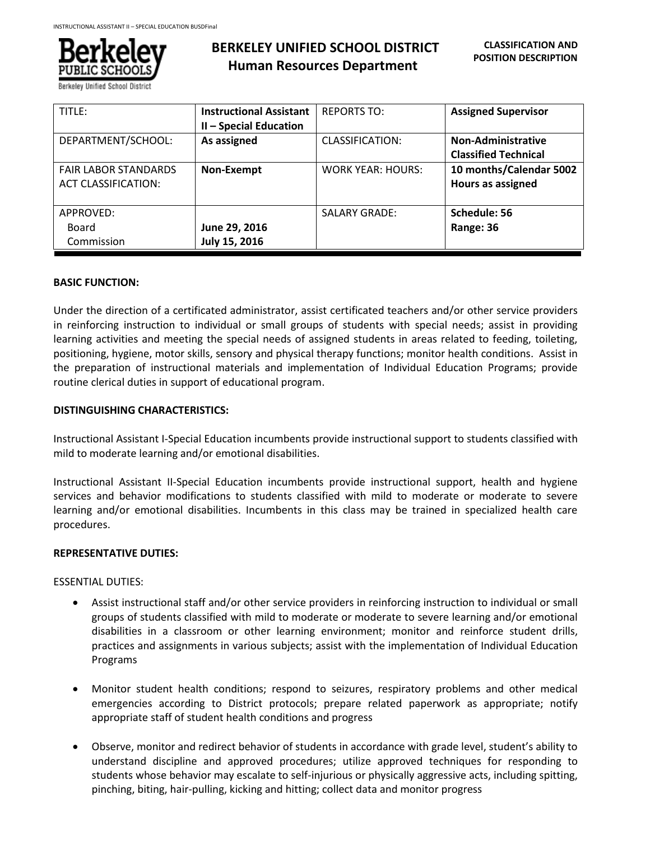

| TITLE:                                                    | <b>Instructional Assistant</b><br>II - Special Education | <b>REPORTS TO:</b>       | <b>Assigned Supervisor</b>                          |
|-----------------------------------------------------------|----------------------------------------------------------|--------------------------|-----------------------------------------------------|
| DEPARTMENT/SCHOOL:                                        | As assigned                                              | <b>CLASSIFICATION:</b>   | Non-Administrative<br><b>Classified Technical</b>   |
| <b>FAIR LABOR STANDARDS</b><br><b>ACT CLASSIFICATION:</b> | Non-Exempt                                               | <b>WORK YEAR: HOURS:</b> | 10 months/Calendar 5002<br><b>Hours as assigned</b> |
| APPROVED:<br>Board<br>Commission                          | June 29, 2016<br>July 15, 2016                           | <b>SALARY GRADE:</b>     | Schedule: 56<br>Range: 36                           |

### **BASIC FUNCTION:**

Under the direction of a certificated administrator, assist certificated teachers and/or other service providers in reinforcing instruction to individual or small groups of students with special needs; assist in providing learning activities and meeting the special needs of assigned students in areas related to feeding, toileting, positioning, hygiene, motor skills, sensory and physical therapy functions; monitor health conditions. Assist in the preparation of instructional materials and implementation of Individual Education Programs; provide routine clerical duties in support of educational program.

### **DISTINGUISHING CHARACTERISTICS:**

Instructional Assistant I-Special Education incumbents provide instructional support to students classified with mild to moderate learning and/or emotional disabilities.

Instructional Assistant II-Special Education incumbents provide instructional support, health and hygiene services and behavior modifications to students classified with mild to moderate or moderate to severe learning and/or emotional disabilities. Incumbents in this class may be trained in specialized health care procedures.

# **REPRESENTATIVE DUTIES:**

#### ESSENTIAL DUTIES:

- Assist instructional staff and/or other service providers in reinforcing instruction to individual or small groups of students classified with mild to moderate or moderate to severe learning and/or emotional disabilities in a classroom or other learning environment; monitor and reinforce student drills, practices and assignments in various subjects; assist with the implementation of Individual Education Programs
- Monitor student health conditions; respond to seizures, respiratory problems and other medical emergencies according to District protocols; prepare related paperwork as appropriate; notify appropriate staff of student health conditions and progress
- Observe, monitor and redirect behavior of students in accordance with grade level, student's ability to understand discipline and approved procedures; utilize approved techniques for responding to students whose behavior may escalate to self-injurious or physically aggressive acts, including spitting, pinching, biting, hair-pulling, kicking and hitting; collect data and monitor progress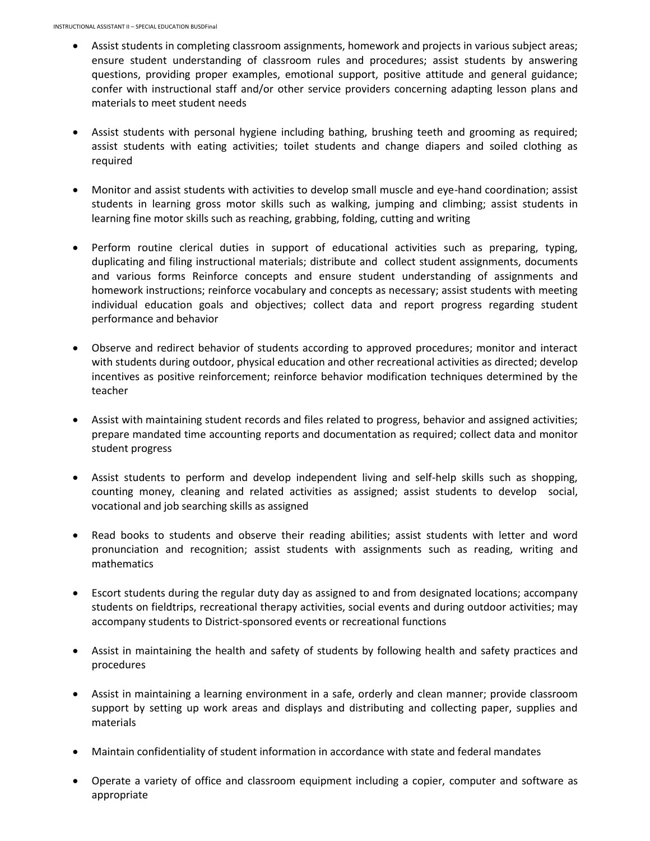- Assist students in completing classroom assignments, homework and projects in various subject areas; ensure student understanding of classroom rules and procedures; assist students by answering questions, providing proper examples, emotional support, positive attitude and general guidance; confer with instructional staff and/or other service providers concerning adapting lesson plans and materials to meet student needs
- Assist students with personal hygiene including bathing, brushing teeth and grooming as required; assist students with eating activities; toilet students and change diapers and soiled clothing as required
- Monitor and assist students with activities to develop small muscle and eye-hand coordination; assist students in learning gross motor skills such as walking, jumping and climbing; assist students in learning fine motor skills such as reaching, grabbing, folding, cutting and writing
- Perform routine clerical duties in support of educational activities such as preparing, typing, duplicating and filing instructional materials; distribute and collect student assignments, documents and various forms Reinforce concepts and ensure student understanding of assignments and homework instructions; reinforce vocabulary and concepts as necessary; assist students with meeting individual education goals and objectives; collect data and report progress regarding student performance and behavior
- Observe and redirect behavior of students according to approved procedures; monitor and interact with students during outdoor, physical education and other recreational activities as directed; develop incentives as positive reinforcement; reinforce behavior modification techniques determined by the teacher
- Assist with maintaining student records and files related to progress, behavior and assigned activities; prepare mandated time accounting reports and documentation as required; collect data and monitor student progress
- Assist students to perform and develop independent living and self-help skills such as shopping, counting money, cleaning and related activities as assigned; assist students to develop social, vocational and job searching skills as assigned
- Read books to students and observe their reading abilities; assist students with letter and word pronunciation and recognition; assist students with assignments such as reading, writing and mathematics
- Escort students during the regular duty day as assigned to and from designated locations; accompany students on fieldtrips, recreational therapy activities, social events and during outdoor activities; may accompany students to District-sponsored events or recreational functions
- Assist in maintaining the health and safety of students by following health and safety practices and procedures
- Assist in maintaining a learning environment in a safe, orderly and clean manner; provide classroom support by setting up work areas and displays and distributing and collecting paper, supplies and materials
- Maintain confidentiality of student information in accordance with state and federal mandates
- Operate a variety of office and classroom equipment including a copier, computer and software as appropriate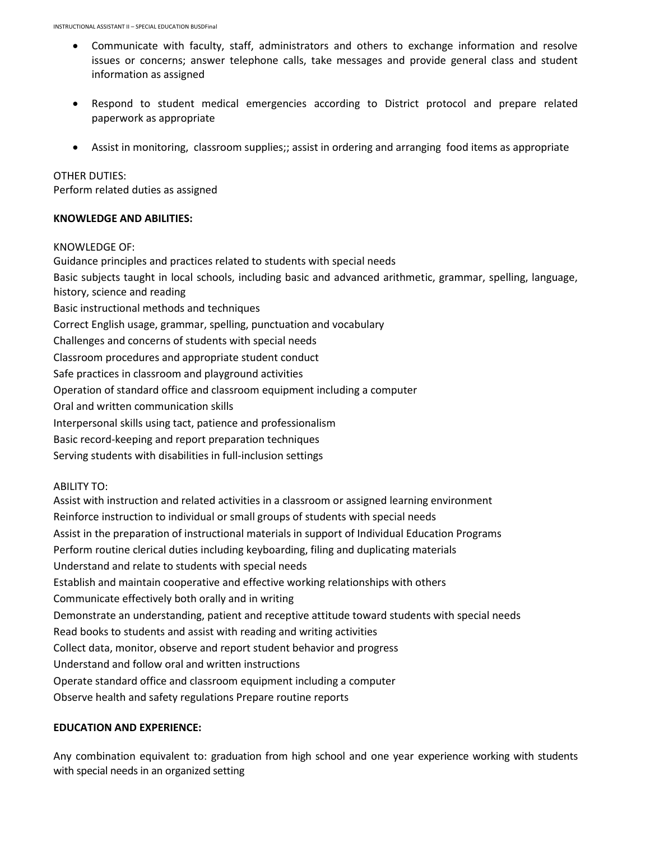- Communicate with faculty, staff, administrators and others to exchange information and resolve issues or concerns; answer telephone calls, take messages and provide general class and student information as assigned
- Respond to student medical emergencies according to District protocol and prepare related paperwork as appropriate
- Assist in monitoring, classroom supplies;; assist in ordering and arranging food items as appropriate

# OTHER DUTIES:

Perform related duties as assigned

### **KNOWLEDGE AND ABILITIES:**

#### KNOWLEDGE OF:

Guidance principles and practices related to students with special needs Basic subjects taught in local schools, including basic and advanced arithmetic, grammar, spelling, language, history, science and reading Basic instructional methods and techniques Correct English usage, grammar, spelling, punctuation and vocabulary Challenges and concerns of students with special needs Classroom procedures and appropriate student conduct Safe practices in classroom and playground activities Operation of standard office and classroom equipment including a computer Oral and written communication skills Interpersonal skills using tact, patience and professionalism Basic record-keeping and report preparation techniques Serving students with disabilities in full-inclusion settings

# ABILITY TO:

Assist with instruction and related activities in a classroom or assigned learning environment Reinforce instruction to individual or small groups of students with special needs Assist in the preparation of instructional materials in support of Individual Education Programs Perform routine clerical duties including keyboarding, filing and duplicating materials Understand and relate to students with special needs Establish and maintain cooperative and effective working relationships with others Communicate effectively both orally and in writing Demonstrate an understanding, patient and receptive attitude toward students with special needs Read books to students and assist with reading and writing activities Collect data, monitor, observe and report student behavior and progress Understand and follow oral and written instructions Operate standard office and classroom equipment including a computer Observe health and safety regulations Prepare routine reports

# **EDUCATION AND EXPERIENCE:**

Any combination equivalent to: graduation from high school and one year experience working with students with special needs in an organized setting